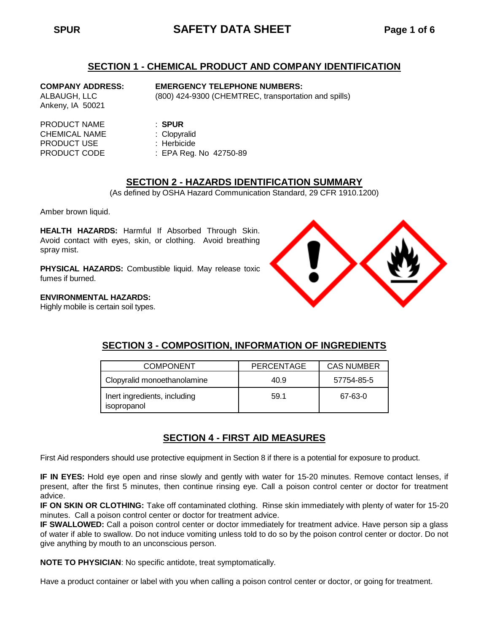# **SPUR SAFETY DATA SHEET Page 1 of 6**

## **SECTION 1 - CHEMICAL PRODUCT AND COMPANY IDENTIFICATION**

**COMPANY ADDRESS: EMERGENCY TELEPHONE NUMBERS:**

ALBAUGH, LLC (800) 424-9300 (CHEMTREC, transportation and spills)

PRODUCT NAME : **SPUR** CHEMICAL NAME : Clopyralid PRODUCT USE : Herbicide

Ankeny, IA 50021

PRODUCT CODE : EPA Reg. No. 42750-89

# **SECTION 2 - HAZARDS IDENTIFICATION SUMMARY**

(As defined by OSHA Hazard Communication Standard, 29 CFR 1910.1200)

Amber brown liquid.

**HEALTH HAZARDS:** Harmful If Absorbed Through Skin. Avoid contact with eyes, skin, or clothing. Avoid breathing spray mist.

**PHYSICAL HAZARDS:** Combustible liquid. May release toxic fumes if burned.

### **ENVIRONMENTAL HAZARDS:**

Highly mobile is certain soil types.



| <b>COMPONENT</b>                            | <b>PERCENTAGE</b> | <b>CAS NUMBER</b> |
|---------------------------------------------|-------------------|-------------------|
| Clopyralid monoethanolamine                 | 40.9              | 57754-85-5        |
| Inert ingredients, including<br>isopropanol | 59.1              | 67-63-0           |

# **SECTION 3 - COMPOSITION, INFORMATION OF INGREDIENTS**

# **SECTION 4 - FIRST AID MEASURES**

First Aid responders should use protective equipment in Section 8 if there is a potential for exposure to product.

**IF IN EYES:** Hold eye open and rinse slowly and gently with water for 15-20 minutes. Remove contact lenses, if present, after the first 5 minutes, then continue rinsing eye. Call a poison control center or doctor for treatment advice.

**IF ON SKIN OR CLOTHING:** Take off contaminated clothing. Rinse skin immediately with plenty of water for 15-20 minutes. Call a poison control center or doctor for treatment advice.

**IF SWALLOWED:** Call a poison control center or doctor immediately for treatment advice. Have person sip a glass of water if able to swallow. Do not induce vomiting unless told to do so by the poison control center or doctor. Do not give anything by mouth to an unconscious person.

**NOTE TO PHYSICIAN**: No specific antidote, treat symptomatically.

Have a product container or label with you when calling a poison control center or doctor, or going for treatment.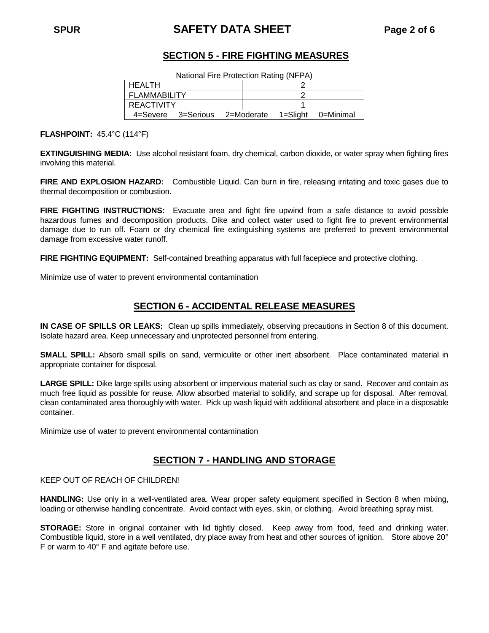# **SPUR SAFETY DATA SHEET Page 2 of 6**

# **SECTION 5 - FIRE FIGHTING MEASURES**

National Fire Protection Rating (NFPA)

| HEALTH             |  |            |          |           |  |
|--------------------|--|------------|----------|-----------|--|
| FLAMMABILITY       |  |            |          |           |  |
| REACTIVITY         |  |            |          |           |  |
| 4=Severe 3=Serious |  | 2=Moderate | 1=Slight | 0=Minimal |  |

**FLASHPOINT:** 45.4°C (114°F)

**EXTINGUISHING MEDIA:** Use alcohol resistant foam, dry chemical, carbon dioxide, or water spray when fighting fires involving this material.

**FIRE AND EXPLOSION HAZARD:** Combustible Liquid. Can burn in fire, releasing irritating and toxic gases due to thermal decomposition or combustion.

**FIRE FIGHTING INSTRUCTIONS:** Evacuate area and fight fire upwind from a safe distance to avoid possible hazardous fumes and decomposition products. Dike and collect water used to fight fire to prevent environmental damage due to run off. Foam or dry chemical fire extinguishing systems are preferred to prevent environmental damage from excessive water runoff.

**FIRE FIGHTING EQUIPMENT:** Self-contained breathing apparatus with full facepiece and protective clothing.

Minimize use of water to prevent environmental contamination

# **SECTION 6 - ACCIDENTAL RELEASE MEASURES**

**IN CASE OF SPILLS OR LEAKS:** Clean up spills immediately, observing precautions in Section 8 of this document. Isolate hazard area. Keep unnecessary and unprotected personnel from entering.

**SMALL SPILL:** Absorb small spills on sand, vermiculite or other inert absorbent. Place contaminated material in appropriate container for disposal.

**LARGE SPILL:** Dike large spills using absorbent or impervious material such as clay or sand. Recover and contain as much free liquid as possible for reuse. Allow absorbed material to solidify, and scrape up for disposal. After removal, clean contaminated area thoroughly with water. Pick up wash liquid with additional absorbent and place in a disposable container.

Minimize use of water to prevent environmental contamination

## **SECTION 7 - HANDLING AND STORAGE**

KEEP OUT OF REACH OF CHILDREN!

**HANDLING:** Use only in a well-ventilated area. Wear proper safety equipment specified in Section 8 when mixing, loading or otherwise handling concentrate. Avoid contact with eyes, skin, or clothing. Avoid breathing spray mist.

**STORAGE:** Store in original container with lid tightly closed. Keep away from food, feed and drinking water. Combustible liquid, store in a well ventilated, dry place away from heat and other sources of ignition. Store above 20° F or warm to 40° F and agitate before use.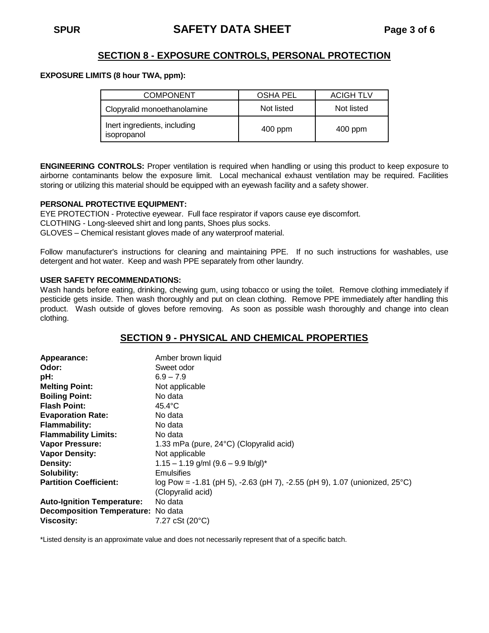# **SECTION 8 - EXPOSURE CONTROLS, PERSONAL PROTECTION**

#### **EXPOSURE LIMITS (8 hour TWA, ppm):**

| <b>COMPONENT</b>                            | <b>OSHA PEL</b> | <b>ACIGH TLV</b> |
|---------------------------------------------|-----------------|------------------|
| Clopyralid monoethanolamine                 | Not listed      | Not listed       |
| Inert ingredients, including<br>isopropanol | 400 ppm         | 400 ppm          |

**ENGINEERING CONTROLS:** Proper ventilation is required when handling or using this product to keep exposure to airborne contaminants below the exposure limit. Local mechanical exhaust ventilation may be required. Facilities storing or utilizing this material should be equipped with an eyewash facility and a safety shower.

### **PERSONAL PROTECTIVE EQUIPMENT:**

EYE PROTECTION - Protective eyewear. Full face respirator if vapors cause eye discomfort.

CLOTHING - Long-sleeved shirt and long pants, Shoes plus socks.

GLOVES – Chemical resistant gloves made of any waterproof material.

Follow manufacturer's instructions for cleaning and maintaining PPE. If no such instructions for washables, use detergent and hot water. Keep and wash PPE separately from other laundry.

### **USER SAFETY RECOMMENDATIONS:**

Wash hands before eating, drinking, chewing gum, using tobacco or using the toilet. Remove clothing immediately if pesticide gets inside. Then wash thoroughly and put on clean clothing. Remove PPE immediately after handling this product. Wash outside of gloves before removing. As soon as possible wash thoroughly and change into clean clothing.

# **SECTION 9 - PHYSICAL AND CHEMICAL PROPERTIES**

| Appearance:                        | Amber brown liquid                                                                   |  |  |
|------------------------------------|--------------------------------------------------------------------------------------|--|--|
| Odor:                              | Sweet odor                                                                           |  |  |
| pH:                                | $6.9 - 7.9$                                                                          |  |  |
| <b>Melting Point:</b>              | Not applicable                                                                       |  |  |
| <b>Boiling Point:</b>              | No data                                                                              |  |  |
| <b>Flash Point:</b>                | $45.4^{\circ}$ C                                                                     |  |  |
| <b>Evaporation Rate:</b>           | No data                                                                              |  |  |
| <b>Flammability:</b>               | No data                                                                              |  |  |
| <b>Flammability Limits:</b>        | No data                                                                              |  |  |
| <b>Vapor Pressure:</b>             | 1.33 mPa (pure, 24°C) (Clopyralid acid)                                              |  |  |
| <b>Vapor Density:</b>              | Not applicable                                                                       |  |  |
| Density:                           | $1.15 - 1.19$ g/ml $(9.6 - 9.9$ lb/gl)*                                              |  |  |
| Solubility:                        | Emulsifies                                                                           |  |  |
| <b>Partition Coefficient:</b>      | log Pow = -1.81 (pH 5), -2.63 (pH 7), -2.55 (pH 9), 1.07 (unionized, $25^{\circ}$ C) |  |  |
|                                    | (Clopyralid acid)                                                                    |  |  |
| <b>Auto-Ignition Temperature:</b>  | No data                                                                              |  |  |
| Decomposition Temperature: No data |                                                                                      |  |  |
| <b>Viscosity:</b>                  | 7.27 cSt (20°C)                                                                      |  |  |

\*Listed density is an approximate value and does not necessarily represent that of a specific batch.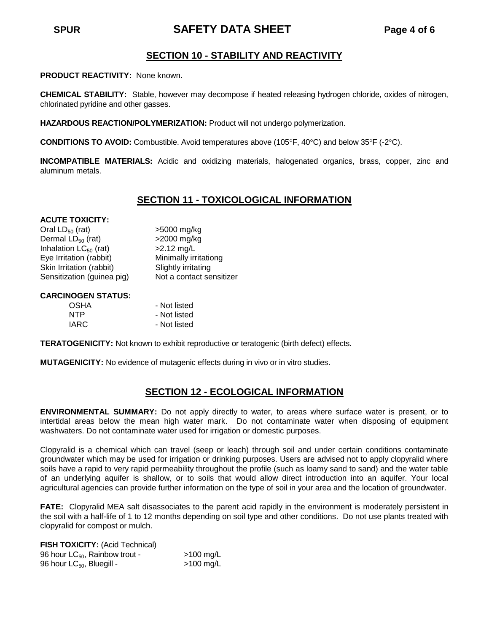# **SPUR SAFETY DATA SHEET Page 4 of 6**

# **SECTION 10 - STABILITY AND REACTIVITY**

**PRODUCT REACTIVITY:** None known.

**CHEMICAL STABILITY:** Stable, however may decompose if heated releasing hydrogen chloride, oxides of nitrogen, chlorinated pyridine and other gasses.

**HAZARDOUS REACTION/POLYMERIZATION:** Product will not undergo polymerization.

**CONDITIONS TO AVOID:** Combustible. Avoid temperatures above (105 $\degree$ F, 40 $\degree$ C) and below 35 $\degree$ F (-2 $\degree$ C).

**INCOMPATIBLE MATERIALS:** Acidic and oxidizing materials, halogenated organics, brass, copper, zinc and aluminum metals.

# **SECTION 11 - TOXICOLOGICAL INFORMATION**

#### **ACUTE TOXICITY:**

Oral LD<sub>50</sub> (rat)  $>5000$  mg/kg<br>Dermal LD<sub>50</sub> (rat)  $>2000$  mg/kg Dermal  $LD_{50}$  (rat) Inhalation  $LC_{50}$  (rat)  $>2.12$  mg/L Eye Irritation (rabbit) Minimally irritationg Skin Irritation (rabbit) Slightly irritating Sensitization (guinea pig) Not a contact sensitizer

#### **CARCINOGEN STATUS:**

| <b>OSHA</b> | - Not listed |
|-------------|--------------|
| <b>NTP</b>  | - Not listed |
| <b>IARC</b> | - Not listed |

**TERATOGENICITY:** Not known to exhibit reproductive or teratogenic (birth defect) effects.

**MUTAGENICITY:** No evidence of mutagenic effects during in vivo or in vitro studies.

# **SECTION 12 - ECOLOGICAL INFORMATION**

**ENVIRONMENTAL SUMMARY:** Do not apply directly to water, to areas where surface water is present, or to intertidal areas below the mean high water mark. Do not contaminate water when disposing of equipment washwaters. Do not contaminate water used for irrigation or domestic purposes.

Clopyralid is a chemical which can travel (seep or leach) through soil and under certain conditions contaminate groundwater which may be used for irrigation or drinking purposes. Users are advised not to apply clopyralid where soils have a rapid to very rapid permeability throughout the profile (such as loamy sand to sand) and the water table of an underlying aquifer is shallow, or to soils that would allow direct introduction into an aquifer. Your local agricultural agencies can provide further information on the type of soil in your area and the location of groundwater.

**FATE:** Clopyralid MEA salt disassociates to the parent acid rapidly in the environment is moderately persistent in the soil with a half-life of 1 to 12 months depending on soil type and other conditions. Do not use plants treated with clopyralid for compost or mulch.

**FISH TOXICITY:** (Acid Technical) 96 hour  $LC_{50}$ , Rainbow trout -  $>100 \text{ mg/L}$ <br>96 hour  $LC_{50}$ , Bluegill -  $>100 \text{ mg/L}$ 96 hour LC<sub>50</sub>, Bluegill -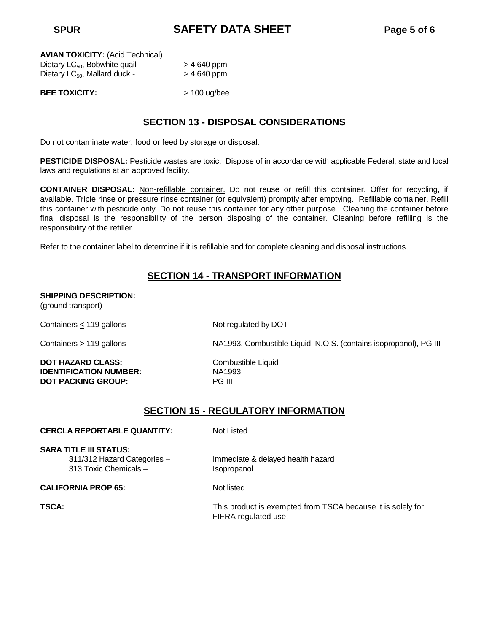**SPUR SAFETY DATA SHEET Page 5 of 6**

| <b>AVIAN TOXICITY: (Acid Technical)</b>     |               |
|---------------------------------------------|---------------|
| Dietary LC <sub>50</sub> , Bobwhite quail - | $> 4,640$ ppm |
| Dietary $LC_{50}$ , Mallard duck -          | $> 4,640$ ppm |

**BEE TOXICITY:** > 100 ug/bee

# **SECTION 13 - DISPOSAL CONSIDERATIONS**

Do not contaminate water, food or feed by storage or disposal.

**PESTICIDE DISPOSAL:** Pesticide wastes are toxic. Dispose of in accordance with applicable Federal, state and local laws and regulations at an approved facility.

**CONTAINER DISPOSAL:** Non-refillable container. Do not reuse or refill this container. Offer for recycling, if available. Triple rinse or pressure rinse container (or equivalent) promptly after emptying. Refillable container. Refill this container with pesticide only. Do not reuse this container for any other purpose. Cleaning the container before final disposal is the responsibility of the person disposing of the container. Cleaning before refilling is the responsibility of the refiller.

Refer to the container label to determine if it is refillable and for complete cleaning and disposal instructions.

# **SECTION 14 - TRANSPORT INFORMATION**

#### **SHIPPING DESCRIPTION:**

(ground transport)

Containers  $\leq$  119 gallons - Not regulated by DOT

**DOT HAZARD CLASS:** Combustible Liquid **IDENTIFICATION NUMBER:** NA1993 **DOT PACKING GROUP:** PG III

Containers > 119 gallons - NA1993, Combustible Liquid, N.O.S. (contains isopropanol), PG III

# **SECTION 15 - REGULATORY INFORMATION**

FIFRA regulated use.

| <b>CERCLA REPORTABLE QUANTITY:</b>                                                    | Not Listed                                                  |
|---------------------------------------------------------------------------------------|-------------------------------------------------------------|
| <b>SARA TITLE III STATUS:</b><br>311/312 Hazard Categories -<br>313 Toxic Chemicals - | Immediate & delayed health hazard<br>Isopropanol            |
| <b>CALIFORNIA PROP 65:</b>                                                            | Not listed                                                  |
| TSCA:                                                                                 | This product is exempted from TSCA because it is solely for |